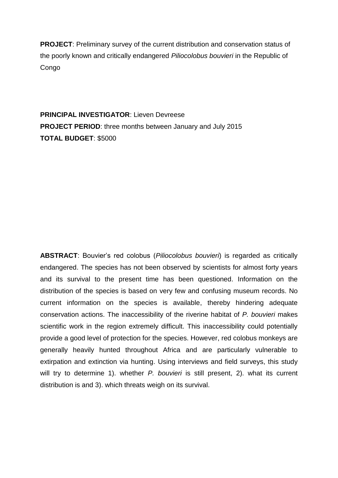**PROJECT**: Preliminary survey of the current distribution and conservation status of the poorly known and critically endangered *Piliocolobus bouvieri* in the Republic of Congo

**PRINCIPAL INVESTIGATOR**: Lieven Devreese **PROJECT PERIOD**: three months between January and July 2015 **TOTAL BUDGET**: \$5000

**ABSTRACT**: Bouvier"s red colobus (*Piliocolobus bouvieri*) is regarded as critically endangered. The species has not been observed by scientists for almost forty years and its survival to the present time has been questioned. Information on the distribution of the species is based on very few and confusing museum records. No current information on the species is available, thereby hindering adequate conservation actions. The inaccessibility of the riverine habitat of *P. bouvieri* makes scientific work in the region extremely difficult. This inaccessibility could potentially provide a good level of protection for the species. However, red colobus monkeys are generally heavily hunted throughout Africa and are particularly vulnerable to extirpation and extinction via hunting. Using interviews and field surveys, this study will try to determine 1). whether *P. bouvieri* is still present, 2). what its current distribution is and 3). which threats weigh on its survival.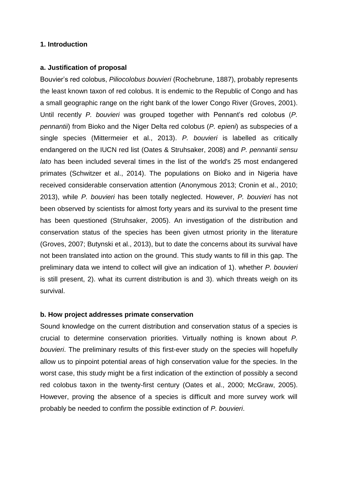# **1. Introduction**

#### **a. Justification of proposal**

Bouvier"s red colobus, *Piliocolobus bouvieri* (Rochebrune, 1887), probably represents the least known taxon of red colobus. It is endemic to the Republic of Congo and has a small geographic range on the right bank of the lower Congo River (Groves, 2001). Until recently *P. bouvieri* was grouped together with Pennant"s red colobus (*P. pennantii*) from Bioko and the Niger Delta red colobus (*P. epieni*) as subspecies of a single species (Mittermeier et al., 2013). *P. bouvieri* is labelled as critically endangered on the IUCN red list (Oates & Struhsaker, 2008) and *P. pennantii sensu lato* has been included several times in the list of the world's 25 most endangered primates (Schwitzer et al., 2014). The populations on Bioko and in Nigeria have received considerable conservation attention (Anonymous 2013; Cronin et al., 2010; 2013), while *P. bouvieri* has been totally neglected. However, *P. bouvieri* has not been observed by scientists for almost forty years and its survival to the present time has been questioned (Struhsaker, 2005). An investigation of the distribution and conservation status of the species has been given utmost priority in the literature (Groves, 2007; Butynski et al., 2013), but to date the concerns about its survival have not been translated into action on the ground. This study wants to fill in this gap. The preliminary data we intend to collect will give an indication of 1). whether *P. bouvieri* is still present, 2). what its current distribution is and 3). which threats weigh on its survival.

#### **b. How project addresses primate conservation**

Sound knowledge on the current distribution and conservation status of a species is crucial to determine conservation priorities. Virtually nothing is known about *P. bouvieri*. The preliminary results of this first-ever study on the species will hopefully allow us to pinpoint potential areas of high conservation value for the species. In the worst case, this study might be a first indication of the extinction of possibly a second red colobus taxon in the twenty-first century (Oates et al., 2000; McGraw, 2005). However, proving the absence of a species is difficult and more survey work will probably be needed to confirm the possible extinction of *P. bouvieri*.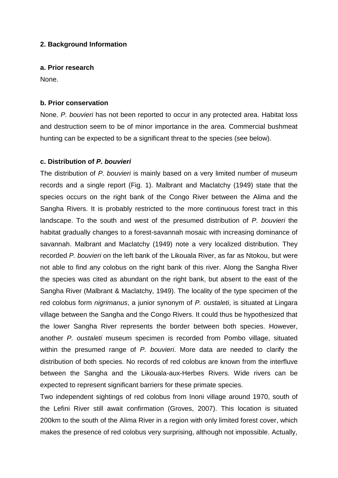# **2. Background Information**

#### **a. Prior research**

None.

#### **b. Prior conservation**

None. *P. bouvieri* has not been reported to occur in any protected area. Habitat loss and destruction seem to be of minor importance in the area. Commercial bushmeat hunting can be expected to be a significant threat to the species (see below).

# **c. Distribution of** *P. bouvieri*

The distribution of *P. bouvieri* is mainly based on a very limited number of museum records and a single report (Fig. 1). Malbrant and Maclatchy (1949) state that the species occurs on the right bank of the Congo River between the Alima and the Sangha Rivers. It is probably restricted to the more continuous forest tract in this landscape. To the south and west of the presumed distribution of *P. bouvieri* the habitat gradually changes to a forest-savannah mosaic with increasing dominance of savannah. Malbrant and Maclatchy (1949) note a very localized distribution. They recorded *P. bouvieri* on the left bank of the Likouala River, as far as Ntokou, but were not able to find any colobus on the right bank of this river. Along the Sangha River the species was cited as abundant on the right bank, but absent to the east of the Sangha River (Malbrant & Maclatchy, 1949). The locality of the type specimen of the red colobus form *nigrimanus*, a junior synonym of *P. oustaleti*, is situated at Lingara village between the Sangha and the Congo Rivers. It could thus be hypothesized that the lower Sangha River represents the border between both species. However, another *P. oustaleti* museum specimen is recorded from Pombo village, situated within the presumed range of *P. bouvieri*. More data are needed to clarify the distribution of both species. No records of red colobus are known from the interfluve between the Sangha and the Likouala-aux-Herbes Rivers. Wide rivers can be expected to represent significant barriers for these primate species.

Two independent sightings of red colobus from Inoni village around 1970, south of the Lefini River still await confirmation (Groves, 2007). This location is situated 200km to the south of the Alima River in a region with only limited forest cover, which makes the presence of red colobus very surprising, although not impossible. Actually,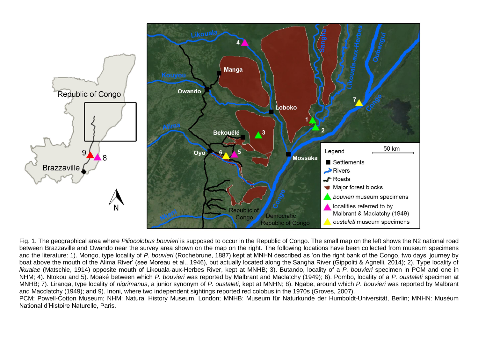

Fig. 1. The geographical area where *Piliocolobus bouvieri* is supposed to occur in the Republic of Congo. The small map on the left shows the N2 national road between Brazzaville and Owando near the survey area shown on the map on the right. The following locations have been collected from museum specimens and the literature: 1). Mongo, type locality of *P. bouvieri* (Rochebrune, 1887) kept at MNHN described as "on the right bank of the Congo, two days" journey by boat above the mouth of the Alima River' (see Moreau et al., 1946), but actually located along the Sangha River (Gippoliti & Agnelli, 2014); 2). Type locality of *likualae* (Matschie, 1914) opposite mouth of Likouala-aux-Herbes River, kept at MNHB; 3). Butando, locality of a *P. bouvieri* specimen in PCM and one in NHM; 4). Ntokou and 5). Moaké between which *P. bouvieri* was reported by Malbrant and Maclatchy (1949); 6). Pombo, locality of a *P. oustaleti* specimen at MNHB; 7). Liranga, type locality of *nigrimanus*, a junior synonym of *P. oustaleti*, kept at MNHN; 8). Ngabe, around which *P. bouvieri* was reported by Malbrant and Macclatchy (1949); and 9). Inoni, where two independent sightings reported red colobus in the 1970s (Groves, 2007).

PCM: Powell-Cotton Museum; NHM: Natural History Museum, London; MNHB: Museum für Naturkunde der Humboldt-Universität, Berlin; MNHN: Muséum National d"Histoire Naturelle, Paris.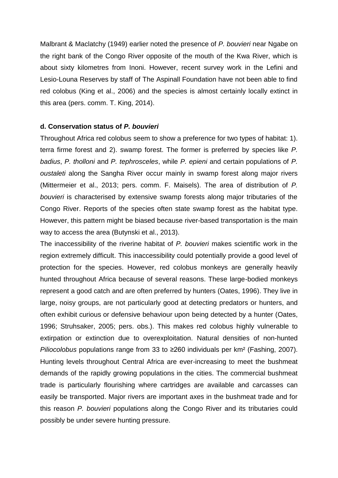Malbrant & Maclatchy (1949) earlier noted the presence of *P. bouvieri* near Ngabe on the right bank of the Congo River opposite of the mouth of the Kwa River, which is about sixty kilometres from Inoni. However, recent survey work in the Lefini and Lesio-Louna Reserves by staff of The Aspinall Foundation have not been able to find red colobus (King et al., 2006) and the species is almost certainly locally extinct in this area (pers. comm. T. King, 2014).

#### **d. Conservation status of** *P. bouvieri*

Throughout Africa red colobus seem to show a preference for two types of habitat: 1). terra firme forest and 2). swamp forest. The former is preferred by species like *P. badius*, *P. tholloni* and *P. tephrosceles*, while *P. epieni* and certain populations of *P. oustaleti* along the Sangha River occur mainly in swamp forest along major rivers (Mittermeier et al., 2013; pers. comm. F. Maisels). The area of distribution of *P. bouvieri* is characterised by extensive swamp forests along major tributaries of the Congo River. Reports of the species often state swamp forest as the habitat type. However, this pattern might be biased because river-based transportation is the main way to access the area (Butynski et al., 2013).

The inaccessibility of the riverine habitat of *P. bouvieri* makes scientific work in the region extremely difficult. This inaccessibility could potentially provide a good level of protection for the species. However, red colobus monkeys are generally heavily hunted throughout Africa because of several reasons. These large-bodied monkeys represent a good catch and are often preferred by hunters (Oates, 1996). They live in large, noisy groups, are not particularly good at detecting predators or hunters, and often exhibit curious or defensive behaviour upon being detected by a hunter (Oates, 1996; Struhsaker, 2005; pers. obs.). This makes red colobus highly vulnerable to extirpation or extinction due to overexploitation. Natural densities of non-hunted *Piliocolobus* populations range from 33 to ≥260 individuals per km² (Fashing, 2007). Hunting levels throughout Central Africa are ever-increasing to meet the bushmeat demands of the rapidly growing populations in the cities. The commercial bushmeat trade is particularly flourishing where cartridges are available and carcasses can easily be transported. Major rivers are important axes in the bushmeat trade and for this reason *P. bouvieri* populations along the Congo River and its tributaries could possibly be under severe hunting pressure.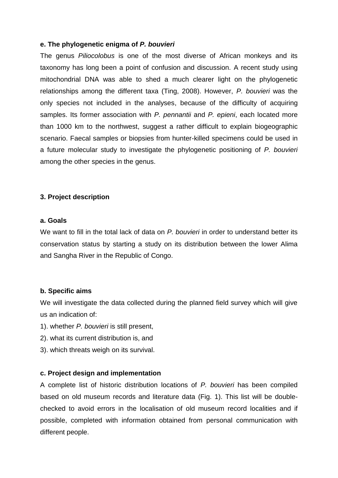#### **e. The phylogenetic enigma of** *P. bouvieri*

The genus *Piliocolobus* is one of the most diverse of African monkeys and its taxonomy has long been a point of confusion and discussion. A recent study using mitochondrial DNA was able to shed a much clearer light on the phylogenetic relationships among the different taxa (Ting, 2008). However, *P. bouvieri* was the only species not included in the analyses, because of the difficulty of acquiring samples. Its former association with *P. pennantii* and *P. epieni*, each located more than 1000 km to the northwest, suggest a rather difficult to explain biogeographic scenario. Faecal samples or biopsies from hunter-killed specimens could be used in a future molecular study to investigate the phylogenetic positioning of *P. bouvieri* among the other species in the genus.

#### **3. Project description**

#### **a. Goals**

We want to fill in the total lack of data on *P. bouvieri* in order to understand better its conservation status by starting a study on its distribution between the lower Alima and Sangha River in the Republic of Congo.

#### **b. Specific aims**

We will investigate the data collected during the planned field survey which will give us an indication of:

- 1). whether *P. bouvieri* is still present,
- 2). what its current distribution is, and
- 3). which threats weigh on its survival.

# **c. Project design and implementation**

A complete list of historic distribution locations of *P. bouvieri* has been compiled based on old museum records and literature data (Fig. 1). This list will be doublechecked to avoid errors in the localisation of old museum record localities and if possible, completed with information obtained from personal communication with different people.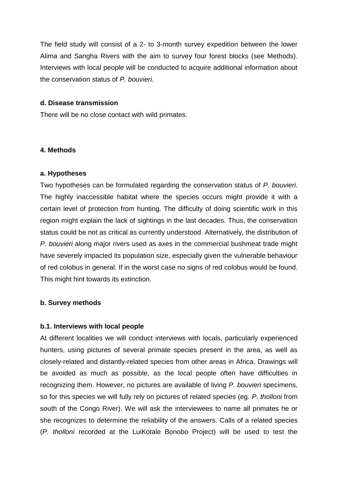The field study will consist of a 2- to 3-month survey expedition between the lower Alima and Sangha Rivers with the aim to survey four forest blocks (see Methods). Interviews with local people will be conducted to acquire additional information about the conservation status of *P. bouvieri*.

#### **d. Disease transmission**

There will be no close contact with wild primates.

# **4. Methods**

#### **a. Hypotheses**

Two hypotheses can be formulated regarding the conservation status of *P. bouvieri*. The highly inaccessible habitat where the species occurs might provide it with a certain level of protection from hunting. The difficulty of doing scientific work in this region might explain the lack of sightings in the last decades. Thus, the conservation status could be not as critical as currently understood. Alternatively, the distribution of *P. bouvieri* along major rivers used as axes in the commercial bushmeat trade might have severely impacted its population size, especially given the vulnerable behaviour of red colobus in general. If in the worst case no signs of red colobus would be found. This might hint towards its extinction.

# **b. Survey methods**

# **b.1. Interviews with local people**

At different localities we will conduct interviews with locals, particularly experienced hunters, using pictures of several primate species present in the area, as well as closely-related and distantly-related species from other areas in Africa. Drawings will be avoided as much as possible, as the local people often have difficulties in recognizing them. However, no pictures are available of living *P. bouvieri* specimens, so for this species we will fully rely on pictures of related species (eg. *P. tholloni* from south of the Congo River). We will ask the interviewees to name all primates he or she recognizes to determine the reliability of the answers. Calls of a related species (*P. tholloni* recorded at the LuiKotale Bonobo Project) will be used to test the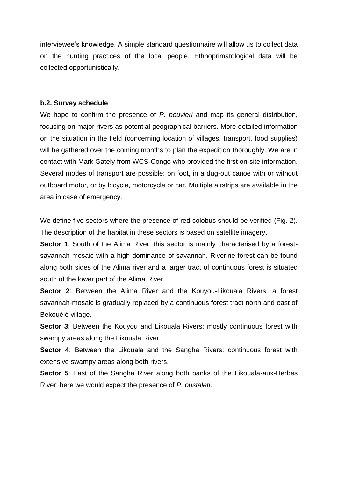interviewee"s knowledge. A simple standard questionnaire will allow us to collect data on the hunting practices of the local people. Ethnoprimatological data will be collected opportunistically.

# **b.2. Survey schedule**

We hope to confirm the presence of *P. bouvieri* and map its general distribution, focusing on major rivers as potential geographical barriers. More detailed information on the situation in the field (concerning location of villages, transport, food supplies) will be gathered over the coming months to plan the expedition thoroughly. We are in contact with Mark Gately from WCS-Congo who provided the first on-site information. Several modes of transport are possible: on foot, in a dug-out canoe with or without outboard motor, or by bicycle, motorcycle or car. Multiple airstrips are available in the area in case of emergency.

We define five sectors where the presence of red colobus should be verified (Fig. 2). The description of the habitat in these sectors is based on satellite imagery.

**Sector 1**: South of the Alima River: this sector is mainly characterised by a forestsavannah mosaic with a high dominance of savannah. Riverine forest can be found along both sides of the Alima river and a larger tract of continuous forest is situated south of the lower part of the Alima River.

**Sector 2**: Between the Alima River and the Kouyou-Likouala Rivers: a forest savannah-mosaic is gradually replaced by a continuous forest tract north and east of Bekouélé village.

**Sector 3:** Between the Kouyou and Likouala Rivers: mostly continuous forest with swampy areas along the Likouala River.

**Sector 4**: Between the Likouala and the Sangha Rivers: continuous forest with extensive swampy areas along both rivers.

**Sector 5**: East of the Sangha River along both banks of the Likouala-aux-Herbes River: here we would expect the presence of *P. oustaleti*.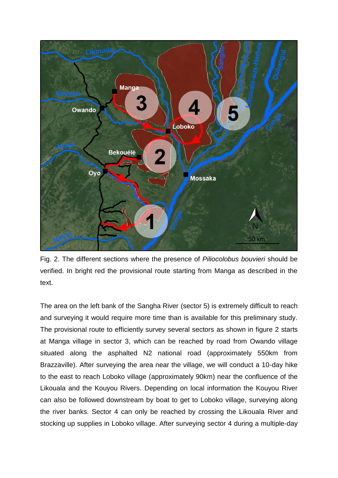

Fig. 2. The different sections where the presence of *Piliocolobus bouvieri* should be verified. In bright red the provisional route starting from Manga as described in the text.

The area on the left bank of the Sangha River (sector 5) is extremely difficult to reach and surveying it would require more time than is available for this preliminary study. The provisional route to efficiently survey several sectors as shown in figure 2 starts at Manga village in sector 3, which can be reached by road from Owando village situated along the asphalted N2 national road (approximately 550km from Brazzaville). After surveying the area near the village, we will conduct a 10-day hike to the east to reach Loboko village (approximately 90km) near the confluence of the Likouala and the Kouyou Rivers. Depending on local information the Kouyou River can also be followed downstream by boat to get to Loboko village, surveying along the river banks. Sector 4 can only be reached by crossing the Likouala River and stocking up supplies in Loboko village. After surveying sector 4 during a multiple-day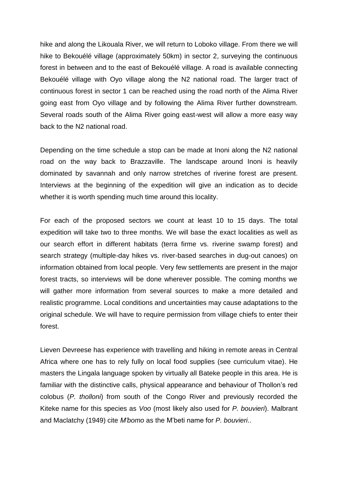hike and along the Likouala River, we will return to Loboko village. From there we will hike to Bekouélé village (approximately 50km) in sector 2, surveying the continuous forest in between and to the east of Bekouélé village. A road is available connecting Bekouélé village with Oyo village along the N2 national road. The larger tract of continuous forest in sector 1 can be reached using the road north of the Alima River going east from Oyo village and by following the Alima River further downstream. Several roads south of the Alima River going east-west will allow a more easy way back to the N2 national road.

Depending on the time schedule a stop can be made at Inoni along the N2 national road on the way back to Brazzaville. The landscape around Inoni is heavily dominated by savannah and only narrow stretches of riverine forest are present. Interviews at the beginning of the expedition will give an indication as to decide whether it is worth spending much time around this locality.

For each of the proposed sectors we count at least 10 to 15 days. The total expedition will take two to three months. We will base the exact localities as well as our search effort in different habitats (terra firme vs. riverine swamp forest) and search strategy (multiple-day hikes vs. river-based searches in dug-out canoes) on information obtained from local people. Very few settlements are present in the major forest tracts, so interviews will be done wherever possible. The coming months we will gather more information from several sources to make a more detailed and realistic programme. Local conditions and uncertainties may cause adaptations to the original schedule. We will have to require permission from village chiefs to enter their forest.

Lieven Devreese has experience with travelling and hiking in remote areas in Central Africa where one has to rely fully on local food supplies (see curriculum vitae). He masters the Lingala language spoken by virtually all Bateke people in this area. He is familiar with the distinctive calls, physical appearance and behaviour of Thollon"s red colobus (*P. tholloni*) from south of the Congo River and previously recorded the Kiteke name for this species as *Voo* (most likely also used for *P. bouvieri*). Malbrant and Maclatchy (1949) cite *M'bomo* as the M"beti name for *P. bouvieri*..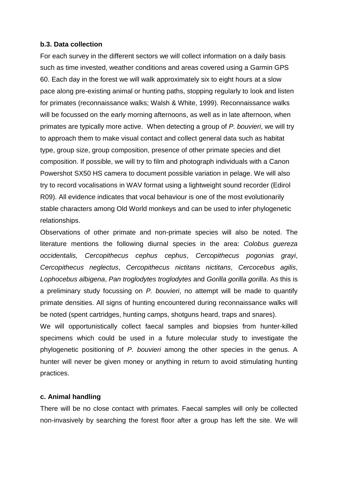#### **b.3. Data collection**

For each survey in the different sectors we will collect information on a daily basis such as time invested, weather conditions and areas covered using a Garmin GPS 60. Each day in the forest we will walk approximately six to eight hours at a slow pace along pre-existing animal or hunting paths, stopping regularly to look and listen for primates (reconnaissance walks; Walsh & White, 1999). Reconnaissance walks will be focussed on the early morning afternoons, as well as in late afternoon, when primates are typically more active. When detecting a group of *P. bouvieri*, we will try to approach them to make visual contact and collect general data such as habitat type, group size, group composition, presence of other primate species and diet composition. If possible, we will try to film and photograph individuals with a Canon Powershot SX50 HS camera to document possible variation in pelage. We will also try to record vocalisations in WAV format using a lightweight sound recorder (Edirol R09). All evidence indicates that vocal behaviour is one of the most evolutionarily stable characters among Old World monkeys and can be used to infer phylogenetic relationships.

Observations of other primate and non-primate species will also be noted. The literature mentions the following diurnal species in the area: *Colobus guereza occidentalis, Cercopithecus cephus cephus*, *Cercopithecus pogonias grayi*, *Cercopithecus neglectus*, *Cercopithecus nictitans nictitans*, *Cercocebus agilis*, *Lophocebus albigena*, *Pan troglodytes troglodytes* and *Gorilla gorilla gorilla*. As this is a preliminary study focussing on *P. bouvieri*, no attempt will be made to quantify primate densities. All signs of hunting encountered during reconnaissance walks will be noted (spent cartridges, hunting camps, shotguns heard, traps and snares).

We will opportunistically collect faecal samples and biopsies from hunter-killed specimens which could be used in a future molecular study to investigate the phylogenetic positioning of *P. bouvieri* among the other species in the genus. A hunter will never be given money or anything in return to avoid stimulating hunting practices.

# **c. Animal handling**

There will be no close contact with primates. Faecal samples will only be collected non-invasively by searching the forest floor after a group has left the site. We will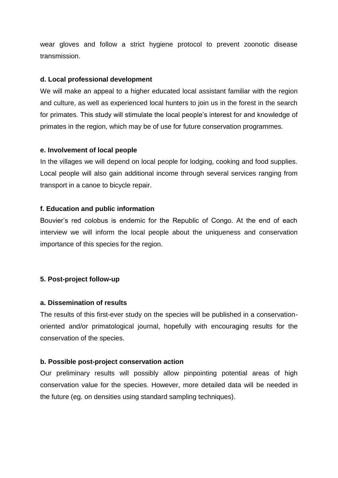wear gloves and follow a strict hygiene protocol to prevent zoonotic disease transmission.

# **d. Local professional development**

We will make an appeal to a higher educated local assistant familiar with the region and culture, as well as experienced local hunters to join us in the forest in the search for primates. This study will stimulate the local people"s interest for and knowledge of primates in the region, which may be of use for future conservation programmes.

# **e. Involvement of local people**

In the villages we will depend on local people for lodging, cooking and food supplies. Local people will also gain additional income through several services ranging from transport in a canoe to bicycle repair.

# **f. Education and public information**

Bouvier"s red colobus is endemic for the Republic of Congo. At the end of each interview we will inform the local people about the uniqueness and conservation importance of this species for the region.

# **5. Post-project follow-up**

# **a. Dissemination of results**

The results of this first-ever study on the species will be published in a conservationoriented and/or primatological journal, hopefully with encouraging results for the conservation of the species.

# **b. Possible post-project conservation action**

Our preliminary results will possibly allow pinpointing potential areas of high conservation value for the species. However, more detailed data will be needed in the future (eg. on densities using standard sampling techniques).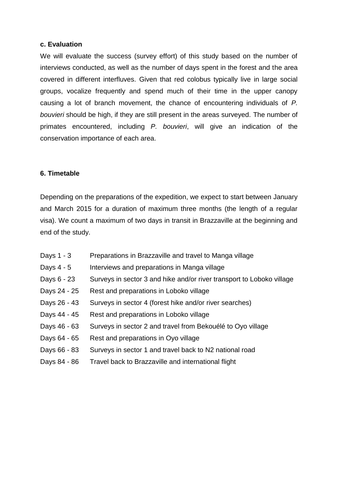#### **c. Evaluation**

We will evaluate the success (survey effort) of this study based on the number of interviews conducted, as well as the number of days spent in the forest and the area covered in different interfluves. Given that red colobus typically live in large social groups, vocalize frequently and spend much of their time in the upper canopy causing a lot of branch movement, the chance of encountering individuals of *P. bouvieri* should be high, if they are still present in the areas surveyed. The number of primates encountered, including *P. bouvieri*, will give an indication of the conservation importance of each area.

# **6. Timetable**

Depending on the preparations of the expedition, we expect to start between January and March 2015 for a duration of maximum three months (the length of a regular visa). We count a maximum of two days in transit in Brazzaville at the beginning and end of the study.

- Days 1 3 Preparations in Brazzaville and travel to Manga village
- Days 4 5 Interviews and preparations in Manga village
- Days 6 23 Surveys in sector 3 and hike and/or river transport to Loboko village
- Days 24 25 Rest and preparations in Loboko village
- Days 26 43 Surveys in sector 4 (forest hike and/or river searches)
- Days 44 45 Rest and preparations in Loboko village
- Days 46 63 Surveys in sector 2 and travel from Bekouélé to Oyo village
- Days 64 65 Rest and preparations in Oyo village
- Days 66 83 Surveys in sector 1 and travel back to N2 national road
- Days 84 86 Travel back to Brazzaville and international flight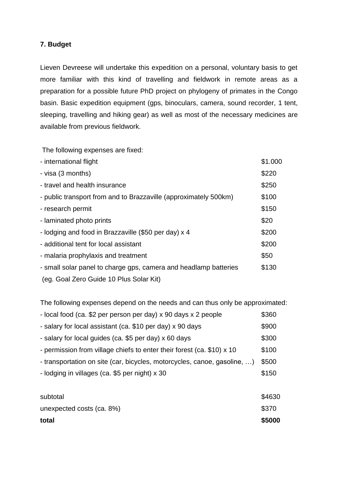# **7. Budget**

Lieven Devreese will undertake this expedition on a personal, voluntary basis to get more familiar with this kind of travelling and fieldwork in remote areas as a preparation for a possible future PhD project on phylogeny of primates in the Congo basin. Basic expedition equipment (gps, binoculars, camera, sound recorder, 1 tent, sleeping, travelling and hiking gear) as well as most of the necessary medicines are available from previous fieldwork.

The following expenses are fixed:

| - international flight                                           | \$1.000 |
|------------------------------------------------------------------|---------|
| - visa (3 months)                                                | \$220   |
| - travel and health insurance                                    | \$250   |
| - public transport from and to Brazzaville (approximately 500km) | \$100   |
| - research permit                                                | \$150   |
| - laminated photo prints                                         | \$20    |
| - lodging and food in Brazzaville (\$50 per day) x 4             | \$200   |
| - additional tent for local assistant                            | \$200   |
| - malaria prophylaxis and treatment                              | \$50    |
| - small solar panel to charge gps, camera and headlamp batteries | \$130   |
| (eg. Goal Zero Guide 10 Plus Solar Kit)                          |         |

The following expenses depend on the needs and can thus only be approximated:

| - local food (ca. \$2 per person per day) x 90 days x 2 people           | \$360        |
|--------------------------------------------------------------------------|--------------|
| - salary for local assistant (ca. \$10 per day) x 90 days                | \$900        |
| - salary for local guides (ca. \$5 per day) x 60 days                    | \$300        |
| - permission from village chiefs to enter their forest (ca. \$10) x 10   | \$100        |
| - transportation on site (car, bicycles, motorcycles, canoe, gasoline, ) | \$500        |
| - lodging in villages (ca. \$5 per night) x 30                           | \$150        |
|                                                                          |              |
| المدمدمان المرارين                                                       | <b>CACOO</b> |

| total                     | \$5000 |
|---------------------------|--------|
| unexpected costs (ca. 8%) | \$370  |
| subtotal                  | \$4630 |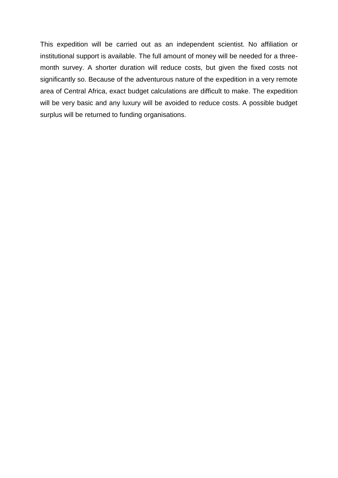This expedition will be carried out as an independent scientist. No affiliation or institutional support is available. The full amount of money will be needed for a threemonth survey. A shorter duration will reduce costs, but given the fixed costs not significantly so. Because of the adventurous nature of the expedition in a very remote area of Central Africa, exact budget calculations are difficult to make. The expedition will be very basic and any luxury will be avoided to reduce costs. A possible budget surplus will be returned to funding organisations.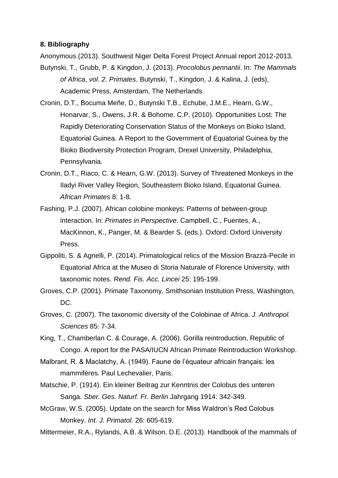#### **8. Bibliography**

Anonymous (2013). Southwest Niger Delta Forest Project Annual report 2012-2013.

- Butynski, T., Grubb, P. & Kingdon, J. (2013). *Procolobus pennantii*. In: *The Mammals of Africa*, *vol. 2. Primates*, Butynski, T., Kingdon, J. & Kalina, J. (eds), Academic Press, Amsterdam, The Netherlands.
- Cronin, D.T., Bocuma Meñe, D., Butynski T.B., Echube, J.M.E., Hearn, G.W., Honarvar, S., Owens, J.R. & Bohome. C.P. (2010). Opportunities Lost: The Rapidly Deteriorating Conservation Status of the Monkeys on Bioko Island, Equatorial Guinea. A Report to the Government of Equatorial Guinea by the Bioko Biodiversity Protection Program, Drexel University, Philadelphia, Pennsylvania.
- Cronin, D.T., Riaco, C. & Hearn, G.W. (2013). Survey of Threatened Monkeys in the Iladyi River Valley Region, Southeastern Bioko Island, Equatorial Guinea. *African Primates* 8: 1-8.
- Fashing, P.J. (2007). African colobine monkeys: Patterns of between-group interaction. In: *Primates in Perspective*. Campbell, C., Fuentes, A., MacKinnon, K., Panger, M. & Bearder S. (eds.). Oxford: Oxford University Press.
- Gippoliti, S. & Agnelli, P. (2014). Primatological relics of the Mission Brazzà-Pecile in Equatorial Africa at the Museo di Storia Naturale of Florence University, with taxonomic notes. *Rend. Fis. Acc. Lincei* 25: 195-199.
- Groves, C.P. (2001). Primate Taxonomy. Smithsonian Institution Press, Washington, DC.
- Groves, C. (2007). The taxonomic diversity of the Colobinae of Africa. *J. Anthropol. Sciences* 85: 7-34.
- King, T., Chamberlan C. & Courage, A. (2006). Gorilla reintroduction, Republic of Congo. A report for the PASA/IUCN African Primate Reintroduction Workshop.
- Malbrant, R. & Maclatchy, A. (1949). Faune de l"équateur africain français: les mammifères. Paul Lechevalier, Paris.
- Matschie, P. (1914). Ein kleiner Beitrag zur Kenntnis der Colobus des unteren Sanga. *Sber. Ges. Naturf. Fr. Berlin* Jahrgang 1914: 342-349.
- McGraw, W.S. (2005). Update on the search for Miss Waldron"s Red Colobus Monkey. *Int. J. Primatol.* 26: 605-619.
- Mittermeier, R.A., Rylands, A.B. & Wilson, D.E. (2013). Handbook of the mammals of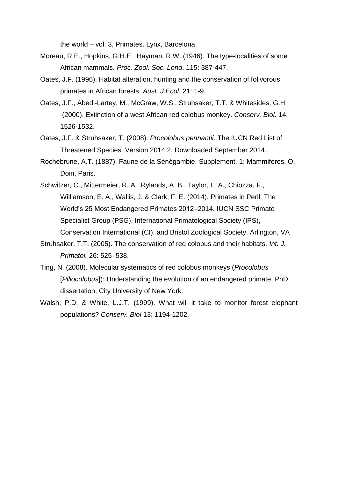the world – vol. 3, Primates. Lynx, Barcelona.

- Moreau, R.E., Hopkins, G.H.E., Hayman, R.W. (1946). The type-localities of some African mammals. *Proc. Zool. Soc. Lond*. 115: 387-447.
- Oates, J.F. (1996). Habitat alteration, hunting and the conservation of folivorous primates in African forests. *Aust. J.Ecol.* 21: 1-9.
- Oates, J.F., Abedi-Lartey, M., McGraw, W.S., Struhsaker, T.T. & Whitesides, G.H. (2000). Extinction of a west African red colobus monkey. *Conserv. Biol*. 14: 1526-1532.
- Oates, J.F. & Struhsaker, T. (2008). *Procolobus pennantii*. The IUCN Red List of Threatened Species. Version 2014.2. Downloaded September 2014.
- Rochebrune, A.T. (1887). Faune de la Sénégambie. Supplement, 1: Mammifères. O. Doin, Paris.
- Schwitzer, C., Mittermeier, R. A., Rylands, A. B., Taylor, L. A., Chiozza, F., Williamson, E. A., Wallis, J. & Clark, F. E. (2014). Primates in Peril: The World"s 25 Most Endangered Primates 2012–2014. IUCN SSC Primate Specialist Group (PSG), International Primatological Society (IPS), Conservation International (CI), and Bristol Zoological Society, Arlington, VA
- Struhsaker, T.T. (2005). The conservation of red colobus and their habitats. *Int. J. Primatol.* 26: 525–538.
- Ting, N. (2008). Molecular systematics of red colobus monkeys (*Procolobus* [*Piliocolobus*]): Understanding the evolution of an endangered primate. PhD dissertation, City University of New York.
- Walsh, P.D. & White, L.J.T. (1999). What will it take to monitor forest elephant populations? *Conserv. Biol* 13: 1194-1202.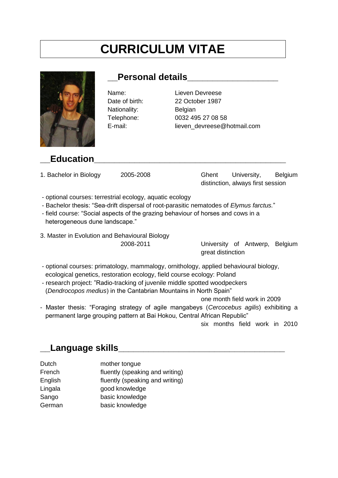# **CURRICULUM VITAE**



# **\_\_Personal details\_\_\_\_\_\_\_\_\_\_\_\_\_\_\_\_\_\_**

Nationality: Belgian

Name: Lieven Devreese Date of birth: 22 October 1987 Telephone: 0032 495 27 08 58 E-mail: lieven\_devreese@hotmail.com

# **Education**

1. Bachelor in Biology 2005-2008 Ghent University, Belgium distinction, always first session

- optional courses: terrestrial ecology, aquatic ecology
- Bachelor thesis: "Sea-drift dispersal of root-parasitic nematodes of *Elymus farctus.*"
- field course: "Social aspects of the grazing behaviour of horses and cows in a heterogeneous dune landscape."
- 3. Master in Evolution and Behavioural Biology

2008-2011 University of Antwerp, Belgium great distinction

- optional courses: primatology, mammalogy, ornithology, applied behavioural biology, ecological genetics, restoration ecology, field course ecology: Poland
- research project: "Radio-tracking of juvenile middle spotted woodpeckers (*Dendrocopos medius*) in the Cantabrian Mountains in North Spain"

one month field work in 2009

- Master thesis: "Foraging strategy of agile mangabeys (*Cercocebus agilis*) exhibiting a permanent large grouping pattern at Bai Hokou, Central African Republic"

six months field work in 2010

# **\_\_Language skills\_\_\_\_\_\_\_\_\_\_\_\_\_\_\_\_\_\_\_\_\_\_\_\_\_\_\_\_\_\_\_\_\_**

Dutch mother tongue French fluently (speaking and writing) English fluently (speaking and writing) Lingala agood knowledge Sango basic knowledge German basic knowledge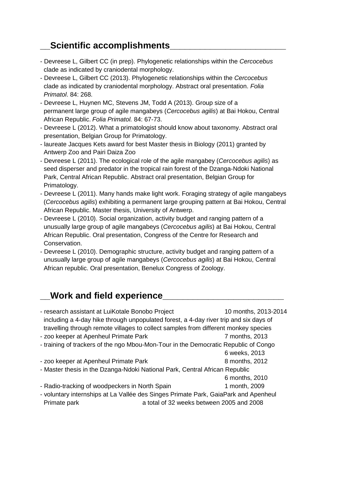# **\_\_Scientific accomplishments\_\_\_\_\_\_\_\_\_\_\_\_\_\_\_\_\_\_\_\_\_\_\_**

- Devreese L, Gilbert CC (in prep). Phylogenetic relationships within the *Cercocebus* clade as indicated by craniodental morphology.
- Devreese L, Gilbert CC (2013). Phylogenetic relationships within the *Cercocebus* clade as indicated by craniodental morphology. Abstract oral presentation. *Folia Primatol*. 84: 268.
- Devreese L, Huynen MC, Stevens JM, Todd A (2013). Group size of a permanent large group of agile mangabeys (*Cercocebus agilis*) at Bai Hokou, Central African Republic. *Folia Primatol.* 84: 67-73.
- Devreese L (2012). What a primatologist should know about taxonomy. Abstract oral presentation, Belgian Group for Primatology.
- laureate Jacques Kets award for best Master thesis in Biology (2011) granted by Antwerp Zoo and Pairi Daiza Zoo
- Devreese L (2011). The ecological role of the agile mangabey (*Cercocebus agilis*) as seed disperser and predator in the tropical rain forest of the Dzanga-Ndoki National Park, Central African Republic. Abstract oral presentation, Belgian Group for Primatology.
- Devreese L (2011). Many hands make light work. Foraging strategy of agile mangabeys (*Cercocebus agilis*) exhibiting a permanent large grouping pattern at Bai Hokou, Central African Republic. Master thesis, University of Antwerp.
- Devreese L (2010). Social organization, activity budget and ranging pattern of a unusually large group of agile mangabeys (*Cercocebus agilis*) at Bai Hokou, Central African Republic. Oral presentation, Congress of the Centre for Research and Conservation.
- Devreese L (2010). Demographic structure, activity budget and ranging pattern of a unusually large group of agile mangabeys (*Cercocebus agilis*) at Bai Hokou, Central African republic. Oral presentation, Benelux Congress of Zoology.

# Work and field experience

| - research assistant at LuiKotale Bonobo Project<br>including a 4-day hike through unpopulated forest, a 4-day river trip and six days of<br>travelling through remote villages to collect samples from different monkey species |                                           | 10 months, 2013-2014 |
|----------------------------------------------------------------------------------------------------------------------------------------------------------------------------------------------------------------------------------|-------------------------------------------|----------------------|
| - zoo keeper at Apenheul Primate Park                                                                                                                                                                                            |                                           | 7 months, 2013       |
| - training of trackers of the ngo Mbou-Mon-Tour in the Democratic Republic of Congo                                                                                                                                              |                                           |                      |
|                                                                                                                                                                                                                                  |                                           | 6 weeks, 2013        |
| - zoo keeper at Apenheul Primate Park                                                                                                                                                                                            |                                           | 8 months, 2012       |
| - Master thesis in the Dzanga-Ndoki National Park, Central African Republic                                                                                                                                                      |                                           |                      |
|                                                                                                                                                                                                                                  |                                           | 6 months, 2010       |
| - Radio-tracking of woodpeckers in North Spain                                                                                                                                                                                   |                                           | 1 month, 2009        |
| - voluntary internships at La Vallée des Singes Primate Park, GaiaPark and Apenheul                                                                                                                                              |                                           |                      |
| Primate park                                                                                                                                                                                                                     | a total of 32 weeks between 2005 and 2008 |                      |
|                                                                                                                                                                                                                                  |                                           |                      |